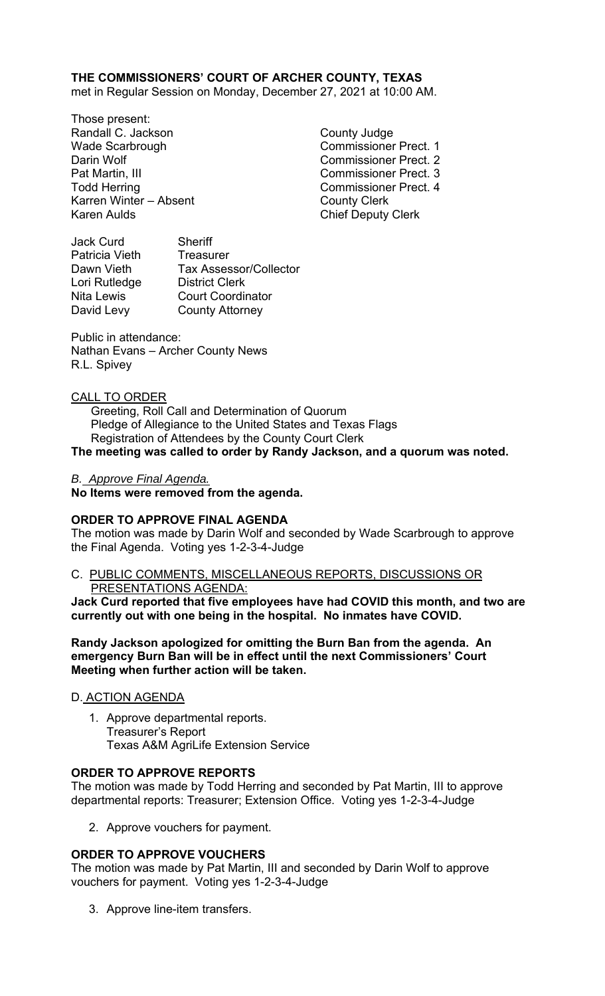# **THE COMMISSIONERS' COURT OF ARCHER COUNTY, TEXAS**

met in Regular Session on Monday, December 27, 2021 at 10:00 AM.

Those present: Randall C. Jackson County Judge Wade Scarbrough Commissioner Prect. 1 Darin Wolf Commissioner Prect. 2 Pat Martin, III Commissioner Prect. 3 Todd Herring **Commissioner Prect.** 4 Karren Winter – Absent County Clerk Karen Aulds **Chief Deputy Clerk** 

Jack Curd Sheriff Patricia Vieth Treasurer Dawn Vieth Tax Assessor/Collector Lori Rutledge District Clerk Nita Lewis Court Coordinator David Levy County Attorney

Public in attendance: Nathan Evans – Archer County News R.L. Spivey

# CALL TO ORDER

 Greeting, Roll Call and Determination of Quorum Pledge of Allegiance to the United States and Texas Flags Registration of Attendees by the County Court Clerk

# **The meeting was called to order by Randy Jackson, and a quorum was noted.**

# *B. Approve Final Agenda.*

**No Items were removed from the agenda.** 

### **ORDER TO APPROVE FINAL AGENDA**

The motion was made by Darin Wolf and seconded by Wade Scarbrough to approve the Final Agenda. Voting yes 1-2-3-4-Judge

### C. PUBLIC COMMENTS, MISCELLANEOUS REPORTS, DISCUSSIONS OR PRESENTATIONS AGENDA:

**Jack Curd reported that five employees have had COVID this month, and two are currently out with one being in the hospital. No inmates have COVID.** 

**Randy Jackson apologized for omitting the Burn Ban from the agenda. An emergency Burn Ban will be in effect until the next Commissioners' Court Meeting when further action will be taken.** 

### D. ACTION AGENDA

1. Approve departmental reports. Treasurer's Report Texas A&M AgriLife Extension Service

### **ORDER TO APPROVE REPORTS**

The motion was made by Todd Herring and seconded by Pat Martin, III to approve departmental reports: Treasurer; Extension Office. Voting yes 1-2-3-4-Judge

2. Approve vouchers for payment.

### **ORDER TO APPROVE VOUCHERS**

The motion was made by Pat Martin, III and seconded by Darin Wolf to approve vouchers for payment. Voting yes 1-2-3-4-Judge

3. Approve line-item transfers.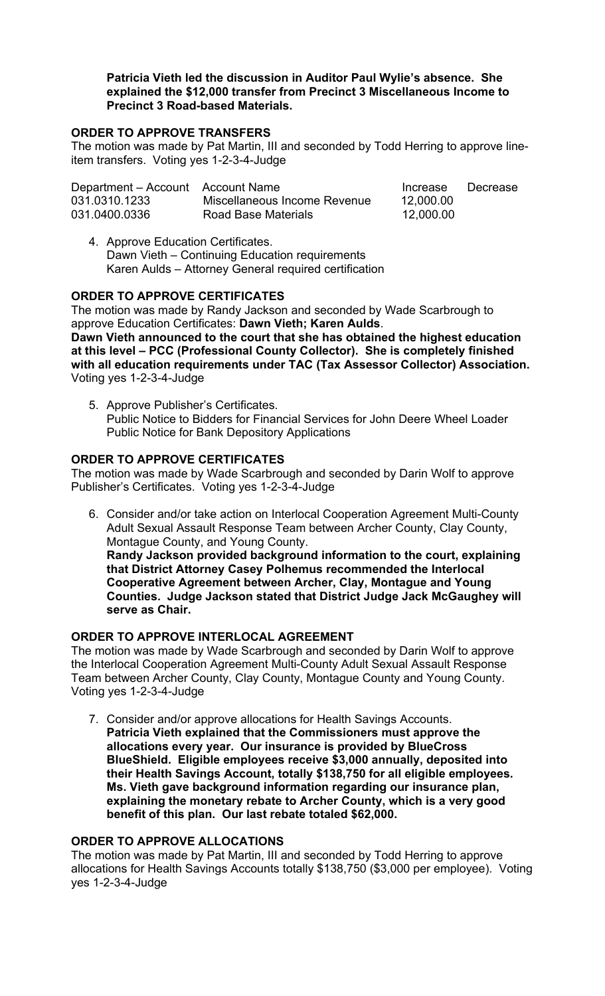# **Patricia Vieth led the discussion in Auditor Paul Wylie's absence. She explained the \$12,000 transfer from Precinct 3 Miscellaneous Income to Precinct 3 Road-based Materials.**

# **ORDER TO APPROVE TRANSFERS**

The motion was made by Pat Martin, III and seconded by Todd Herring to approve lineitem transfers. Voting yes 1-2-3-4-Judge

| Department – Account Account Name |                              | Increase  | Decrease |
|-----------------------------------|------------------------------|-----------|----------|
| 031.0310.1233                     | Miscellaneous Income Revenue | 12,000.00 |          |
| 031.0400.0336                     | Road Base Materials          | 12,000.00 |          |

4. Approve Education Certificates. Dawn Vieth – Continuing Education requirements Karen Aulds – Attorney General required certification

### **ORDER TO APPROVE CERTIFICATES**

The motion was made by Randy Jackson and seconded by Wade Scarbrough to approve Education Certificates: **Dawn Vieth; Karen Aulds**.

**Dawn Vieth announced to the court that she has obtained the highest education at this level – PCC (Professional County Collector). She is completely finished with all education requirements under TAC (Tax Assessor Collector) Association.** Voting yes 1-2-3-4-Judge

5. Approve Publisher's Certificates. Public Notice to Bidders for Financial Services for John Deere Wheel Loader Public Notice for Bank Depository Applications

# **ORDER TO APPROVE CERTIFICATES**

The motion was made by Wade Scarbrough and seconded by Darin Wolf to approve Publisher's Certificates. Voting yes 1-2-3-4-Judge

6. Consider and/or take action on Interlocal Cooperation Agreement Multi-County Adult Sexual Assault Response Team between Archer County, Clay County, Montague County, and Young County. **Randy Jackson provided background information to the court, explaining** 

**that District Attorney Casey Polhemus recommended the Interlocal Cooperative Agreement between Archer, Clay, Montague and Young Counties. Judge Jackson stated that District Judge Jack McGaughey will serve as Chair.** 

### **ORDER TO APPROVE INTERLOCAL AGREEMENT**

The motion was made by Wade Scarbrough and seconded by Darin Wolf to approve the Interlocal Cooperation Agreement Multi-County Adult Sexual Assault Response Team between Archer County, Clay County, Montague County and Young County. Voting yes 1-2-3-4-Judge

7. Consider and/or approve allocations for Health Savings Accounts. **Patricia Vieth explained that the Commissioners must approve the allocations every year. Our insurance is provided by BlueCross BlueShield. Eligible employees receive \$3,000 annually, deposited into their Health Savings Account, totally \$138,750 for all eligible employees. Ms. Vieth gave background information regarding our insurance plan, explaining the monetary rebate to Archer County, which is a very good benefit of this plan. Our last rebate totaled \$62,000.** 

# **ORDER TO APPROVE ALLOCATIONS**

The motion was made by Pat Martin, III and seconded by Todd Herring to approve allocations for Health Savings Accounts totally \$138,750 (\$3,000 per employee). Voting yes 1-2-3-4-Judge